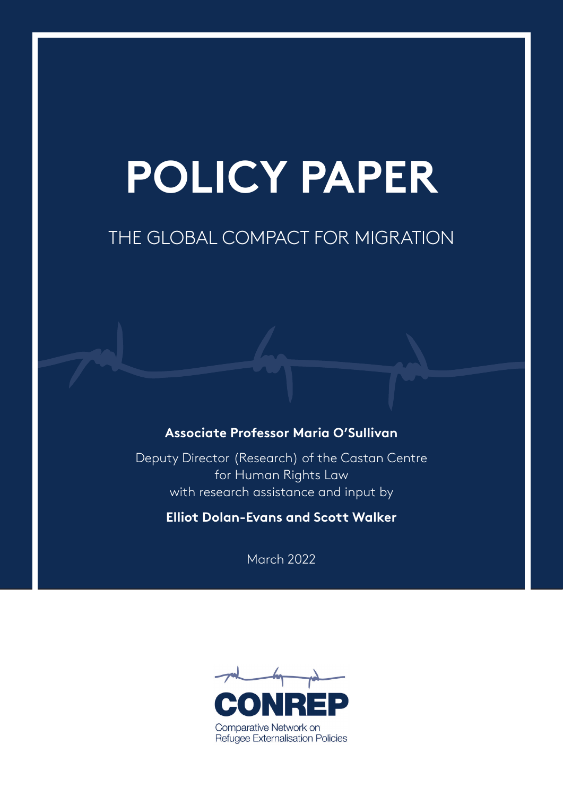# **POLICY PAPER**

# THE GLOBAL COMPACT FOR MIGRATION

# **Associate Professor Maria O'Sullivan**

Deputy Director (Research) of the Castan Centre for Human Rights Law with research assistance and input by

**Elliot Dolan-Evans and Scott Walker**

March 2022

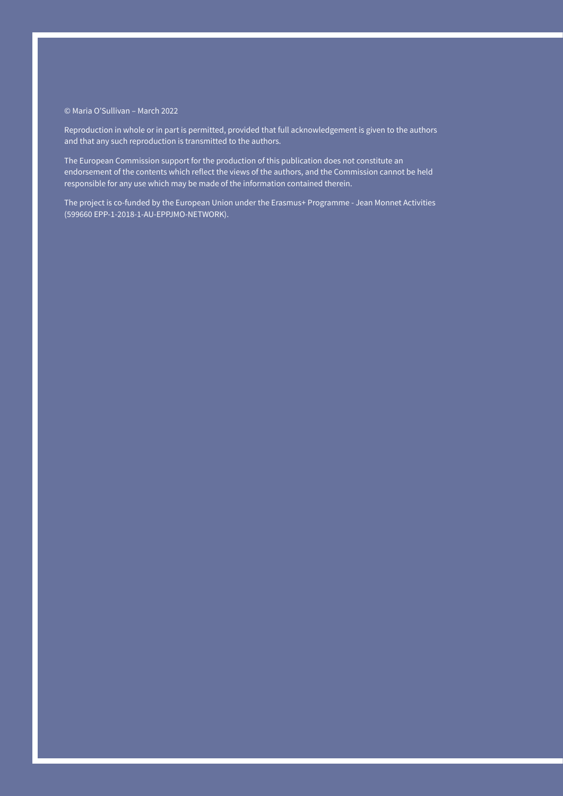#### © Maria O'Sullivan – March 2022

Reproduction in whole or in part is permitted, provided that full acknowledgement is given to the authors and that any such reproduction is transmitted to the authors.

The European Commission support for the production of this publication does not constitute an endorsement of the contents which reflect the views of the authors, and the Commission cannot be held responsible for any use which may be made of the information contained therein.

The project is co-funded by the European Union under the Erasmus+ Programme - Jean Monnet Activities (599660 EPP-1-2018-1-AU-EPPJMO-NETWORK).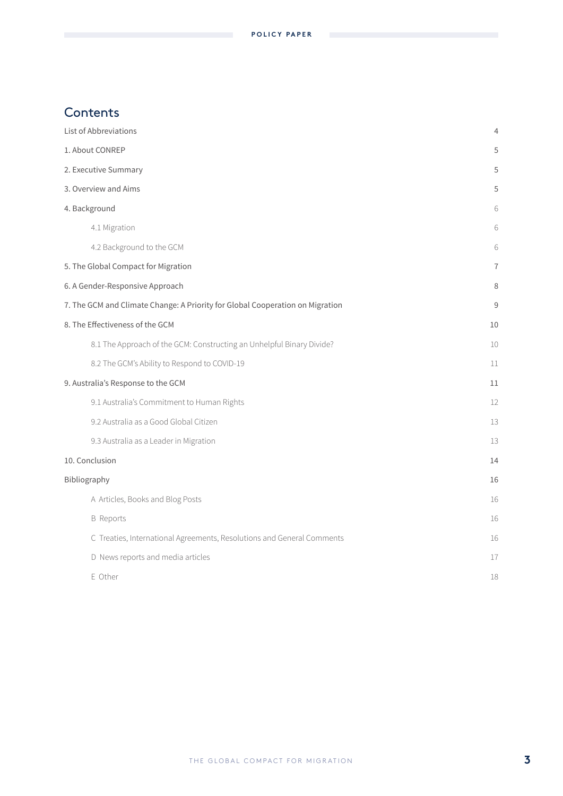# **Contents**

| List of Abbreviations                                                         | 4              |
|-------------------------------------------------------------------------------|----------------|
| 1. About CONREP                                                               | 5              |
| 2. Executive Summary                                                          | 5              |
| 3. Overview and Aims                                                          | 5              |
| 4. Background                                                                 | 6              |
| 4.1 Migration                                                                 | 6              |
| 4.2 Background to the GCM                                                     | 6              |
| 5. The Global Compact for Migration                                           | $\overline{1}$ |
| 6. A Gender-Responsive Approach                                               | 8              |
| 7. The GCM and Climate Change: A Priority for Global Cooperation on Migration | 9              |
| 8. The Effectiveness of the GCM                                               | 10             |
| 8.1 The Approach of the GCM: Constructing an Unhelpful Binary Divide?         | 10             |
| 8.2 The GCM's Ability to Respond to COVID-19                                  | 11             |
| 9. Australia's Response to the GCM                                            | 11             |
| 9.1 Australia's Commitment to Human Rights                                    | 12             |
| 9.2 Australia as a Good Global Citizen                                        | 13             |
| 9.3 Australia as a Leader in Migration                                        | 13             |
| 10. Conclusion                                                                | 14             |
| Bibliography                                                                  | 16             |
| A Articles, Books and Blog Posts                                              | 16             |
| <b>B</b> Reports                                                              | 16             |
| C Treaties, International Agreements, Resolutions and General Comments        | 16             |
| D News reports and media articles                                             | 17             |
| E Other                                                                       | 18             |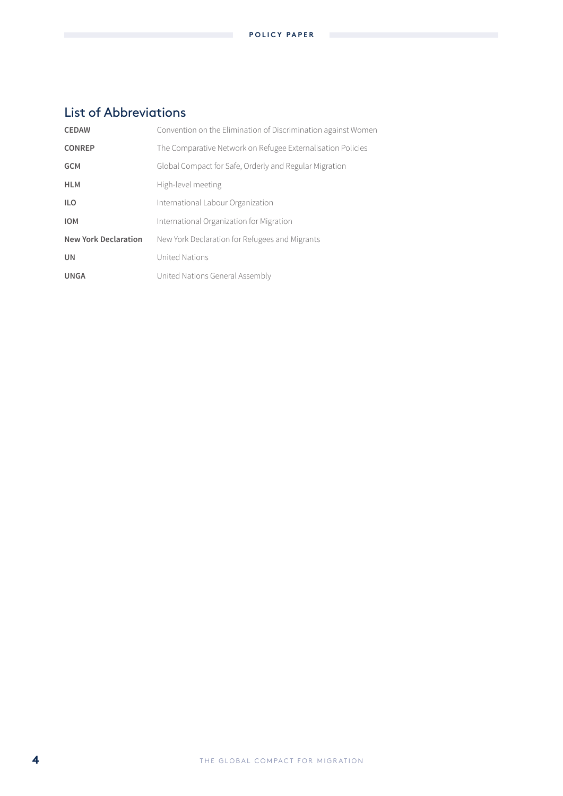# <span id="page-3-0"></span>List of Abbreviations

| <b>CEDAW</b>                | Convention on the Elimination of Discrimination against Women |
|-----------------------------|---------------------------------------------------------------|
| <b>CONREP</b>               | The Comparative Network on Refugee Externalisation Policies   |
| <b>GCM</b>                  | Global Compact for Safe, Orderly and Regular Migration        |
| <b>HLM</b>                  | High-level meeting                                            |
| ILO                         | International Labour Organization                             |
| <b>IOM</b>                  | International Organization for Migration                      |
| <b>New York Declaration</b> | New York Declaration for Refugees and Migrants                |
| <b>UN</b>                   | United Nations                                                |
| <b>UNGA</b>                 | United Nations General Assembly                               |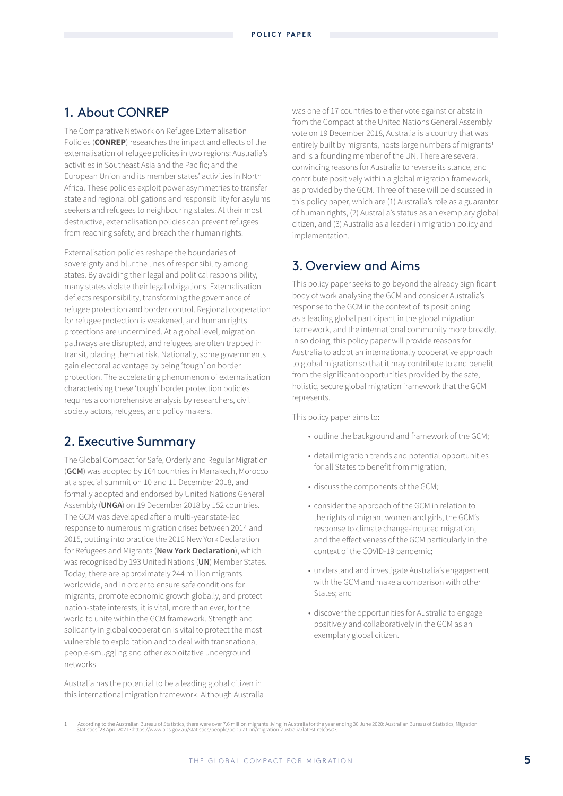#### <span id="page-4-0"></span>1. About CONREP

The Comparative Network on Refugee Externalisation Policies (**CONREP**) researches the impact and effects of the externalisation of refugee policies in two regions: Australia's activities in Southeast Asia and the Pacific; and the European Union and its member states' activities in North Africa. These policies exploit power asymmetries to transfer state and regional obligations and responsibility for asylums seekers and refugees to neighbouring states. At their most destructive, externalisation policies can prevent refugees from reaching safety, and breach their human rights.

Externalisation policies reshape the boundaries of sovereignty and blur the lines of responsibility among states. By avoiding their legal and political responsibility, many states violate their legal obligations. Externalisation deflects responsibility, transforming the governance of refugee protection and border control. Regional cooperation for refugee protection is weakened, and human rights protections are undermined. At a global level, migration pathways are disrupted, and refugees are often trapped in transit, placing them at risk. Nationally, some governments gain electoral advantage by being 'tough' on border protection. The accelerating phenomenon of externalisation characterising these 'tough' border protection policies requires a comprehensive analysis by researchers, civil society actors, refugees, and policy makers.

#### 2. Executive Summary

The Global Compact for Safe, Orderly and Regular Migration (**GCM**) was adopted by 164 countries in Marrakech, Morocco at a special summit on 10 and 11 December 2018, and formally adopted and endorsed by United Nations General Assembly (**UNGA**) on 19 December 2018 by 152 countries. The GCM was developed after a multi-year state-led response to numerous migration crises between 2014 and 2015, putting into practice the 2016 New York Declaration for Refugees and Migrants (**New York Declaration**), which was recognised by 193 United Nations (**UN**) Member States. Today, there are approximately 244 million migrants worldwide, and in order to ensure safe conditions for migrants, promote economic growth globally, and protect nation-state interests, it is vital, more than ever, for the world to unite within the GCM framework. Strength and solidarity in global cooperation is vital to protect the most vulnerable to exploitation and to deal with transnational people-smuggling and other exploitative underground networks.

Australia has the potential to be a leading global citizen in this international migration framework. Although Australia was one of 17 countries to either vote against or abstain from the Compact at the United Nations General Assembly vote on 19 December 2018, Australia is a country that was entirely built by migrants, hosts large numbers of migrants<sup>1</sup> and is a founding member of the UN. There are several convincing reasons for Australia to reverse its stance, and contribute positively within a global migration framework, as provided by the GCM. Three of these will be discussed in this policy paper, which are (1) Australia's role as a guarantor of human rights, (2) Australia's status as an exemplary global citizen, and (3) Australia as a leader in migration policy and implementation.

#### 3. Overview and Aims

This policy paper seeks to go beyond the already significant body of work analysing the GCM and consider Australia's response to the GCM in the context of its positioning as a leading global participant in the global migration framework, and the international community more broadly. In so doing, this policy paper will provide reasons for Australia to adopt an internationally cooperative approach to global migration so that it may contribute to and benefit from the significant opportunities provided by the safe, holistic, secure global migration framework that the GCM represents.

This policy paper aims to:

- outline the background and framework of the GCM;
- detail migration trends and potential opportunities for all States to benefit from migration;
- discuss the components of the GCM;
- consider the approach of the GCM in relation to the rights of migrant women and girls, the GCM's response to climate change-induced migration, and the effectiveness of the GCM particularly in the context of the COVID-19 pandemic;
- understand and investigate Australia's engagement with the GCM and make a comparison with other States; and
- discover the opportunities for Australia to engage positively and collaboratively in the GCM as an exemplary global citizen.

According to the Australian Bureau of Statistics, there were over 7.6 million migrants living in Australia for the year ending 30 June 2020: Australian Bureau of Statistics, Migration<br>Statistics, 23 April 2021 <https://www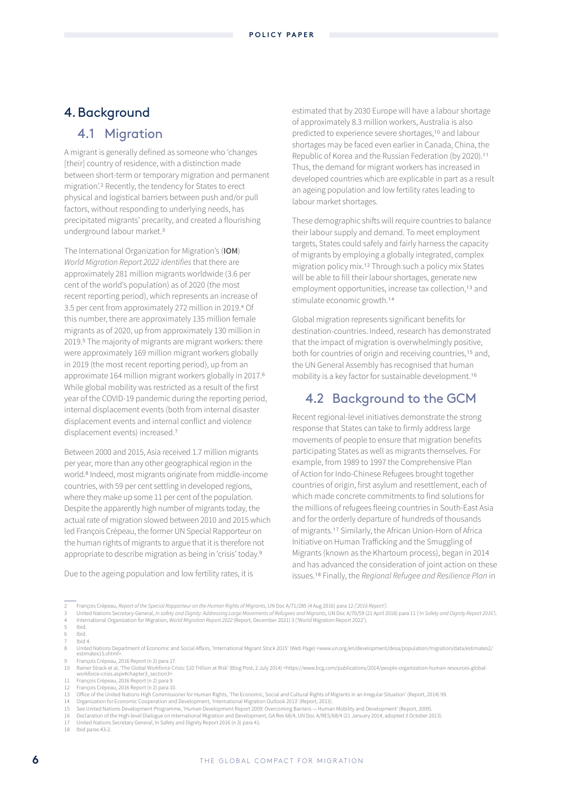#### <span id="page-5-0"></span>4.Background

#### 4.1 Migration

A migrant is generally defined as someone who 'changes [their] country of residence, with a distinction made between short-term or temporary migration and permanent migration'.2 Recently, the tendency for States to erect physical and logistical barriers between push and/or pull factors, without responding to underlying needs, has precipitated migrants' precarity, and created a flourishing underground labour market.3

The International Organization for Migration's (**IOM**) World Migration Report 2022 identifies that there are approximately 281 million migrants worldwide (3.6 per cent of the world's population) as of 2020 (the most recent reporting period), which represents an increase of 3.5 per cent from approximately 272 million in 2019.4 Of this number, there are approximately 135 million female migrants as of 2020, up from approximately 130 million in 2019.5 The majority of migrants are migrant workers: there were approximately 169 million migrant workers globally in 2019 (the most recent reporting period), up from an approximate 164 million migrant workers globally in 2017.6 While global mobility was restricted as a result of the first year of the COVID-19 pandemic during the reporting period, internal displacement events (both from internal disaster displacement events and internal conflict and violence displacement events) increased.7

Between 2000 and 2015, Asia received 1.7 million migrants per year, more than any other geographical region in the world.8 Indeed, most migrants originate from middle-income countries, with 59 per cent settling in developed regions, where they make up some 11 per cent of the population. Despite the apparently high number of migrants today, the actual rate of migration slowed between 2010 and 2015 which led François Crépeau, the former UN Special Rapporteur on the human rights of migrants to argue that it is therefore not appropriate to describe migration as being in 'crisis' today.9

Due to the ageing population and low fertility rates, it is

estimated that by 2030 Europe will have a labour shortage of approximately 8.3 million workers, Australia is also predicted to experience severe shortages,<sup>10</sup> and labour shortages may be faced even earlier in Canada, China, the Republic of Korea and the Russian Federation (by 2020).11 Thus, the demand for migrant workers has increased in developed countries which are explicable in part as a result an ageing population and low fertility rates leading to labour market shortages.

These demographic shifts will require countries to balance their labour supply and demand. To meet employment targets, States could safely and fairly harness the capacity of migrants by employing a globally integrated, complex migration policy mix.12 Through such a policy mix States will be able to fill their labour shortages, generate new employment opportunities, increase tax collection,<sup>13</sup> and stimulate economic growth.14

Global migration represents significant benefits for destination-countries. Indeed, research has demonstrated that the impact of migration is overwhelmingly positive, both for countries of origin and receiving countries,15 and, the UN General Assembly has recognised that human mobility is a key factor for sustainable development.16

#### 4.2 Background to the GCM

Recent regional-level initiatives demonstrate the strong response that States can take to firmly address large movements of people to ensure that migration benefits participating States as well as migrants themselves. For example, from 1989 to 1997 the Comprehensive Plan of Action for Indo-Chinese Refugees brought together countries of origin, first asylum and resettlement, each of which made concrete commitments to find solutions for the millions of refugees fleeing countries in South-East Asia and for the orderly departure of hundreds of thousands of migrants.17 Similarly, the African Union-Horn of Africa Initiative on Human Trafficking and the Smuggling of Migrants (known as the Khartoum process), began in 2014 and has advanced the consideration of joint action on these issues.18 Finally, the Regional Refugee and Resilience Plan in

14 Organization for Economic Cooperation and Development, 'International Migration Outlook 2013' (Report, 2013).<br>15 See United Nations Development Programme, 'Human Development Report 2009: Overcoming Barriers — Human Mo

<sup>2</sup> François Crépeau, Report of the Special Rapporteur on the Human Rights of Migrants, UN Doc A/71/285 (4 Aug 2016) para 12 *('2016 Report')*.

United Nations Secretary-General, In safety and Dignity: Addressing Large Movements of Refugees and Migrants, UN Doc A/70/59 (21 April 2016) para 11 ('In Safety and Dignity Report 2016'). 4 International Organization for Migration, *World Migration Report 2022* (Report, December 2021) 3 ('World Migration Report 2022').

<sup>5</sup> Ibid.

<sup>6</sup> Ibid.

<sup>7</sup> Ibid 4.

<sup>8</sup> United Nations Department of Economic and Social Affairs, 'International Migrant Stock 2015' (Web Page) <[www.un.org/en/development/desa/population/migration/data/estimates2/](http://www.un.org/en/development/desa/population/migration/data/estimates2/estimates15.shtml) [estimates15.shtml](http://www.un.org/en/development/desa/population/migration/data/estimates2/estimates15.shtml)>.

<sup>9</sup> François Crépeau, 2016 Report (n 2) para 17.<br>10 Rainer Strack et al. 'The Global Workforce Cr -Rainer Strack et al, 'The Global Workforce Crisis: \$10 Trillion at Risk' (Blog Post, 2 July 2014) <https://www.bcg.com/publications/2014/people-organization-human-resources-global-[workforce-crisis.aspx#chapter3\\_section3>](https://www.bcg.com/publications/2014/people-organization-human-resources-global-workforce-crisis.aspx#chapter3_section3).

<sup>11</sup> François Crépeau, 2016 Report (n 2) para 9.<br>12 François Crépeau, 2016 Report (n 2) para 1.

<sup>12</sup> François Crépeau, 2016 Report (n 2) para 10.

<sup>13</sup> Office of the United Nations High Commissioner for Human Rights, 'The Economic, Social and Cultural Rights of Migrants in an Irregular Situation' (Report, 2014) 99.

<sup>16</sup> Declaration of the High-level Dialogue on International Migration and Development, GA Res 68/4, UN Doc A/RES/68/4 (21 January 2014, adopted 3 October 2013).<br>17 United Nations Secretary General, In Safety and Dignity R

<sup>18</sup> Ibid paras 43-2.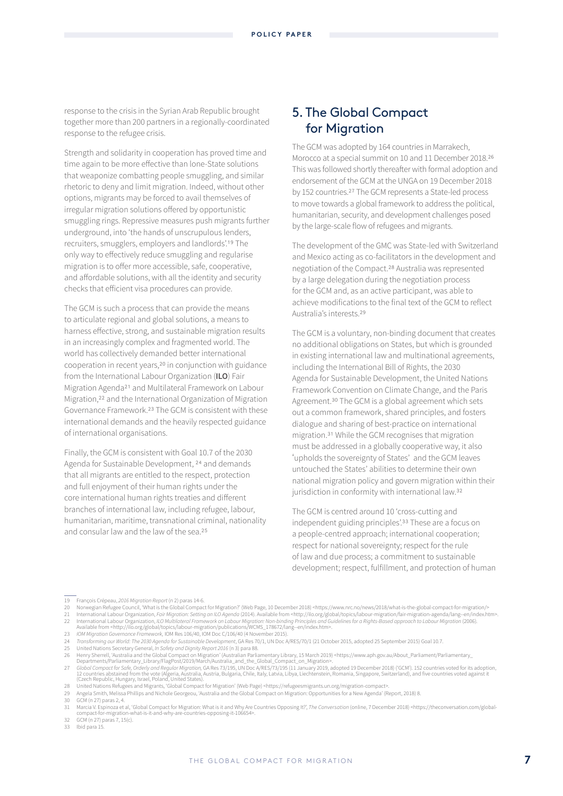<span id="page-6-0"></span>response to the crisis in the Syrian Arab Republic brought together more than 200 partners in a regionally-coordinated response to the refugee crisis.

Strength and solidarity in cooperation has proved time and time again to be more effective than lone-State solutions that weaponize combatting people smuggling, and similar rhetoric to deny and limit migration. Indeed, without other options, migrants may be forced to avail themselves of irregular migration solutions offered by opportunistic smuggling rings. Repressive measures push migrants further underground, into 'the hands of unscrupulous lenders, recruiters, smugglers, employers and landlords'.19 The only way to effectively reduce smuggling and regularise migration is to offer more accessible, safe, cooperative, and affordable solutions, with all the identity and security checks that efficient visa procedures can provide.

The GCM is such a process that can provide the means to articulate regional and global solutions, a means to harness effective, strong, and sustainable migration results in an increasingly complex and fragmented world. The world has collectively demanded better international cooperation in recent years,20 in conjunction with guidance from the International Labour Organization (**ILO**) Fair Migration Agenda21 and Multilateral Framework on Labour Migration,22 and the International Organization of Migration Governance Framework.23 The GCM is consistent with these international demands and the heavily respected guidance of international organisations.

Finally, the GCM is consistent with Goal 10.7 of the 2030 Agenda for Sustainable Development, 24 and demands that all migrants are entitled to the respect, protection and full enjoyment of their human rights under the core international human rights treaties and different branches of international law, including refugee, labour, humanitarian, maritime, transnational criminal, nationality and consular law and the law of the sea.25

#### 5. The Global Compact for Migration

The GCM was adopted by 164 countries in Marrakech, Morocco at a special summit on 10 and 11 December 2018.26 This was followed shortly thereafter with formal adoption and endorsement of the GCM at the UNGA on 19 December 2018 by 152 countries.27 The GCM represents a State-led process to move towards a global framework to address the political, humanitarian, security, and development challenges posed by the large-scale flow of refugees and migrants.

The development of the GMC was State-led with Switzerland and Mexico acting as co-facilitators in the development and negotiation of the Compact.28 Australia was represented by a large delegation during the negotiation process for the GCM and, as an active participant, was able to achieve modifications to the final text of the GCM to reflect Australia's interests.29

The GCM is a voluntary, non-binding document that creates no additional obligations on States, but which is grounded in existing international law and multinational agreements, including the International Bill of Rights, the 2030 Agenda for Sustainable Development, the United Nations Framework Convention on Climate Change, and the Paris Agreement.<sup>30</sup> The GCM is a global agreement which sets out a common framework, shared principles, and fosters dialogue and sharing of best-practice on international migration.31 While the GCM recognises that migration must be addressed in a globally cooperative way, it also 'upholds the sovereignty of States' and the GCM leaves untouched the States' abilities to determine their own national migration policy and govern migration within their jurisdiction in conformity with international law.<sup>32</sup>

The GCM is centred around 10 'cross-cutting and independent guiding principles'.33 These are a focus on a people-centred approach; international cooperation; respect for national sovereignty; respect for the rule of law and due process; a commitment to sustainable development; respect, fulfillment, and protection of human

21 International Labour Organization, *Fair Migration: Setting an ILO Agenda (*2014). Available from [<http://ilo.org/global/topics/labour-migration/fair-migration-agenda/lang--en/index.htm](http://ilo.org/global/topics/labour-migration/fair-migration-agenda/lang--en/index.htm)><br>22 International Labour Organiza

- 23 IOM Migration Governance Framework, IOM Res 106/40, IOM Doc C/106/40 (4 November 2015).<br>24 Transforming our World: The 2030 Agenda for Sustainable Development GA Ber 70/1 UN Doc 1
- 24 Transforming our World: The 2030 Agenda for Sustainable Development, GA Res 70/1, UN Doc A/RES/70/1 (21 October 2015, adopted 25 September 2015) Goal 10.7.

<sup>19</sup> François Crépeau, *2016 Migration Report* (n 2) paras 14-6.

<sup>20</sup> Norwegian Refugee Council, 'What is the Global Compact for Migration?' (Web Page, 10 December 2018) <[https://www.nrc.no/news/2018/what-is-the-global-compact-for-migration/>](https://www.nrc.no/news/2018/what-is-the-global-compact-for-migration/)

<sup>25</sup> United Nations Secretary General, *In Safety and Dignity Report 2016* (n 3) para 88.<br>25 United Nations Secretary General, *In Safety and Dignity Report 2016* (n 3) para 88.<br>26 Henry Sherrell Mustralia and the Global Com \_26 Henry Sherrell, 'Australia and the Global Compact on Migration' (Australian Parliamentary Library, 15 March 2019) [<https://www.aph.gov.au/About\\_Parliament/Parliamentary\\_](https://www.aph.gov.au/About_Parliament/Parliamentary_Departments/Parliamentary_Library/FlagPost/2019/March/Australia_and_the_Global_Compact_on_Migration)<br>Departments/Parliamentary\_Library/FlagPost/2019

Global Compact for Safe, Orderly and Regular Migration, GA Res 73/195, UN Doc A/RES/73/195 (11 January 2019, adopted 19 December 2018) ('GCM'). 152 countries voted for its adoption,<br>12 countries abstained from the vote (Al

<sup>28</sup> United Nations Refugees and Migrants, 'Global Compact for Migration' (Web Page) <[https://refugeesmigrants.un.org/migration-compact>](https://refugeesmigrants.un.org/migration-compact).

<sup>29</sup> Angela Smith, Melissa Phillips and Nichole Georgeou, 'Australia and the Global Compact on Migration: Opportunities for a New Agenda' (Report, 2018) 8.

<sup>30</sup> GCM (n 27) paras 2, 4.

Marcia V. Espinoza et al, 'Global Compact for Migration: What is it and Why Are Countries Opposing It?', *The Conversation* (online, 7 December 2018) <https://theconversation.com/global-<br>compact-for-migration-what-is-it-an 32 GCM (n 27) paras 7, 15(c).

<sup>33</sup> Ibid para 15.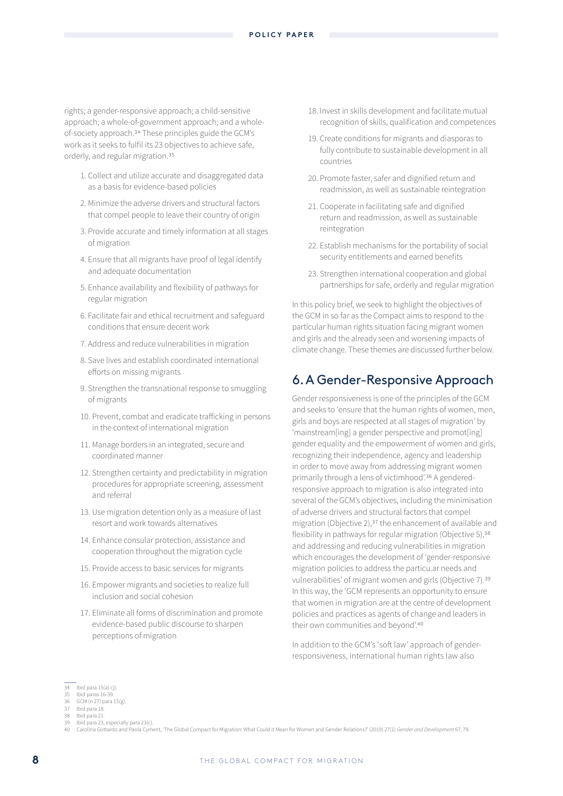<span id="page-7-0"></span>rights; a gender-responsive approach; a child-sensitive approach; a whole-of-government approach; and a wholeof-society approach.34 These principles guide the GCM's work as it seeks to fulfil its 23 objectives to achieve safe, orderly, and regular migration.35

- 1. Collect and utilize accurate and disaggregated data as a basis for evidence-based policies
- 2. Minimize the adverse drivers and structural factors that compel people to leave their country of origin
- 3. Provide accurate and timely information at all stages of migration
- 4. Ensure that all migrants have proof of legal identify and adequate documentation
- 5. Enhance availability and flexibility of pathways for regular migration
- 6. Facilitate fair and ethical recruitment and safeguard conditions that ensure decent work
- 7. Address and reduce vulnerabilities in migration
- 8. Save lives and establish coordinated international efforts on missing migrants
- 9. Strengthen the transnational response to smuggling of migrants
- 10. Prevent, combat and eradicate trafficking in persons in the context of international migration
- 11. Manage borders in an integrated, secure and coordinated manner
- 12. Strengthen certainty and predictability in migration procedures for appropriate screening, assessment and referral
- 13. Use migration detention only as a measure of last resort and work towards alternatives
- 14. Enhance consular protection, assistance and cooperation throughout the migration cycle
- 15. Provide access to basic services for migrants
- 16. Empower migrants and societies to realize full inclusion and social cohesion
- 17. Eliminate all forms of discrimination and promote evidence-based public discourse to sharpen perceptions of migration
- 18. Invest in skills development and facilitate mutual recognition of skills, qualification and competences
- 19. Create conditions for migrants and diasporas to fully contribute to sustainable development in all countries
- 20. Promote faster, safer and dignified return and readmission, as well as sustainable reintegration
- 21. Cooperate in facilitating safe and dignified return and readmission, as well as sustainable reintegration
- 22. Establish mechanisms for the portability of social security entitlements and earned benefits
- 23. Strengthen international cooperation and global partnerships for safe, orderly and regular migration

In this policy brief, we seek to highlight the objectives of the GCM in so far as the Compact aims to respond to the particular human rights situation facing migrant women and girls and the already seen and worsening impacts of climate change. These themes are discussed further below.

#### 6.A Gender-Responsive Approach

Gender responsiveness is one of the principles of the GCM and seeks to 'ensure that the human rights of women, men, girls and boys are respected at all stages of migration' by 'mainstream[ing] a gender perspective and promot[ing] gender equality and the empowerment of women and girls, recognizing their independence, agency and leadership in order to move away from addressing migrant women primarily through a lens of victimhood'.36 A genderedresponsive approach to migration is also integrated into several of the GCM's objectives, including the minimisation of adverse drivers and structural factors that compel migration (Objective 2),37 the enhancement of available and flexibility in pathways for regular migration (Objective 5),<sup>38</sup> and addressing and reducing vulnerabilities in migration which encourages the development of 'gender-responsive migration policies to address the [particu.ar](http://particu.ar) needs and vulnerabilities' of migrant women and girls (Objective 7).39 In this way, the 'GCM represents an opportunity to ensure that women in migration are at the centre of development policies and practices as agents of change and leaders in their own communities and beyond'.40

In addition to the GCM's 'soft law' approach of genderresponsiveness, international human rights law also

- 38 Ibid para 21.
- 39 Ibid para 23, especially para 23(c).

 $\overline{34}$  Ibid para 15(a)-(j).

<sup>35</sup> Ibid paras 16-39.

<sup>36</sup> GCM (n 27) para 15(g). Ibid para 18.

<sup>40</sup> Carolina Gottardo and Paola Cyment, 'The Global Compact for Migration: What Could it Mean for Women and Gender Relations?' (2019) 27(1) Gender and Development 67, 79.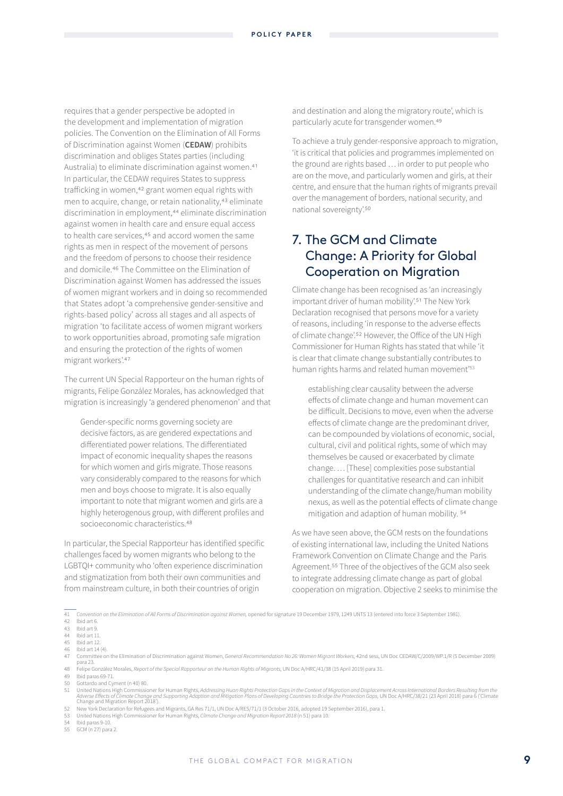<span id="page-8-0"></span>requires that a gender perspective be adopted in the development and implementation of migration policies. The Convention on the Elimination of All Forms of Discrimination against Women (**CEDAW**) prohibits discrimination and obliges States parties (including Australia) to eliminate discrimination against women.41 In particular, the CEDAW requires States to suppress trafficking in women,<sup>42</sup> grant women equal rights with men to acquire, change, or retain nationality,<sup>43</sup> eliminate discrimination in employment,44 eliminate discrimination against women in health care and ensure equal access to health care services,<sup>45</sup> and accord women the same rights as men in respect of the movement of persons and the freedom of persons to choose their residence and domicile.46 The Committee on the Elimination of Discrimination against Women has addressed the issues of women migrant workers and in doing so recommended that States adopt 'a comprehensive gender-sensitive and rights-based policy' across all stages and all aspects of migration 'to facilitate access of women migrant workers to work opportunities abroad, promoting safe migration and ensuring the protection of the rights of women migrant workers'.47

The current UN Special Rapporteur on the human rights of migrants, Felipe González Morales, has acknowledged that migration is increasingly 'a gendered phenomenon' and that

Gender-specific norms governing society are decisive factors, as are gendered expectations and differentiated power relations. The differentiated impact of economic inequality shapes the reasons for which women and girls migrate. Those reasons vary considerably compared to the reasons for which men and boys choose to migrate. It is also equally important to note that migrant women and girls are a highly heterogenous group, with different profiles and socioeconomic characteristics.48

In particular, the Special Rapporteur has identified specific challenges faced by women migrants who belong to the LGBTQI+ community who 'often experience discrimination and stigmatization from both their own communities and from mainstream culture, in both their countries of origin

and destination and along the migratory route', which is particularly acute for transgender women.49

To achieve a truly gender-responsive approach to migration, 'it is critical that policies and programmes implemented on the ground are rights based … in order to put people who are on the move, and particularly women and girls, at their centre, and ensure that the human rights of migrants prevail over the management of borders, national security, and national sovereignty'.50

# 7. The GCM and Climate Change: A Priority for Global Cooperation on Migration

Climate change has been recognised as 'an increasingly important driver of human mobility'.51 The New York Declaration recognised that persons move for a variety of reasons, including 'in response to the adverse effects of climate change'.<sup>52</sup> However, the Office of the UN High Commissioner for Human Rights has stated that while 'it is clear that climate change substantially contributes to human rights harms and related human movement'<sup>53</sup>

establishing clear causality between the adverse effects of climate change and human movement can be difficult. Decisions to move, even when the adverse effects of climate change are the predominant driver, can be compounded by violations of economic, social, cultural, civil and political rights, some of which may themselves be caused or exacerbated by climate change. … [These] complexities pose substantial challenges for quantitative research and can inhibit understanding of the climate change/human mobility nexus, as well as the potential effects of climate change mitigation and adaption of human mobility. 54

As we have seen above, the GCM rests on the foundations of existing international law, including the United Nations Framework Convention on Climate Change and the Paris Agreement.55 Three of the objectives of the GCM also seek to integrate addressing climate change as part of global cooperation on migration. Objective 2 seeks to minimise the

50 Gottardo and Cyment (n 40) 80.

53 United Nations High Commissioner for Human Rights, Climate Change and Migration Report 2018 (n 51) para 10.

55 GCM (n 27) para 2.

<sup>41</sup> Convention on the Elimination of All Forms of Discrimination against Women, opened for signature 19 December 1979, 1249 UNTS 13 (entered into force 3 September 1981).

<sup>42</sup> Ibid art 6.

<sup>43</sup> Ibid art 9.<br>44 Ibid art 1

<sup>44</sup> Ibid art 11.

<sup>45</sup> Ibid art 12.

<sup>46</sup> Ibid art 14 (4)<br>47 Committee o

Committee on the Elimination of Discrimination against Women, General Recommendation No 26: Women Migrant Workers, 42nd sess, UN Doc CEDAW/C/2009/WP.1/R (5 December 2009) para 23. Felipe González Morales, *Report of the Special Rapporteur on the Human Rights of Migrants*, UN Doc A/HRC/41/38 (15 April 2019) para 31.<br>49 Ibid paras 69-71

Ibid paras 69-71.

<sup>51</sup> United Nations High Commissioner for Human Rights, Addressing Huan Rights Protection Gaps in the Context of Migration and Displacement Across International Borders Resulting from the<br>Adverse Effects of Climate Change an 52 New York Declaration for Refugees and Migrants, GA Res 71/1, UN Doc A/RES/71/1 (3 October 2016, adopted 19 September 2016), para 1.

<sup>54</sup> Ibid paras 9-10.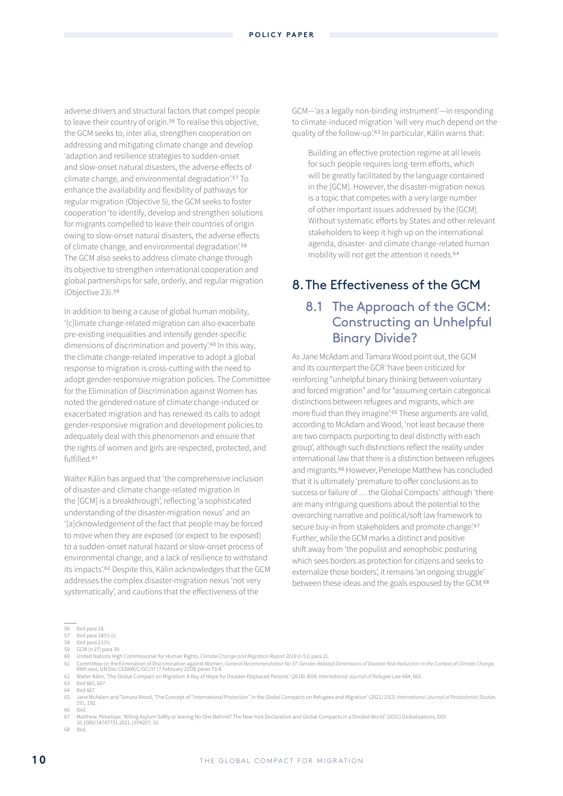<span id="page-9-0"></span>adverse drivers and structural factors that compel people to leave their country of origin.56 To realise this objective, the GCM seeks to, inter alia, strengthen cooperation on addressing and mitigating climate change and develop 'adaption and resilience strategies to sudden-onset and slow-onset natural disasters, the adverse effects of climate change, and environmental degradation'.57 To enhance the availability and flexibility of pathways for regular migration (Objective 5), the GCM seeks to foster cooperation 'to identify, develop and strengthen solutions for migrants compelled to leave their countries of origin owing to slow-onset natural disasters, the adverse effects of climate change, and environmental degradation'.58 The GCM also seeks to address climate change through its objective to strengthen international cooperation and global partnerships for safe, orderly, and regular migration (Objective 23).59

In addition to being a cause of global human mobility, '[c]limate change-related migration can also exacerbate pre-existing inequalities and intensify gender-specific dimensions of discrimination and poverty'.60 In this way, the climate change-related imperative to adopt a global response to migration is cross-cutting with the need to adopt gender-responsive migration policies. The Committee for the Elimination of Discrimination against Women has noted the gendered nature of climate change-induced or exacerbated migration and has renewed its calls to adopt gender-responsive migration and development policies to adequately deal with this phenomenon and ensure that the rights of women and girls are respected, protected, and fulfilled.61

Walter Kälin has argued that 'the comprehensive inclusion of disaster-and climate change-related migration in the [GCM] is a breakthrough', reflecting 'a sophisticated understanding of the disaster-migration nexus' and an '[a]cknowledgement of the fact that people may be forced to move when they are exposed (or expect to be exposed) to a sudden-onset natural hazard or slow-onset process of environmental change, and a lack of resilience to withstand its impacts'.<sup>62</sup> Despite this, Kälin acknowledges that the GCM addresses the complex disaster-migration nexus 'not very systematically', and cautions that the effectiveness of the

GCM—'as a legally non-binding instrument'—in responding to climate-induced migration 'will very much depend on the quality of the follow-up'.<sup>63</sup> In particular, Kälin warns that:

Building an effective protection regime at all levels for such people requires long-term efforts, which will be greatly facilitated by the language contained in the [GCM]. However, the disaster-migration nexus is a topic that competes with a very large number of other important issues addressed by the [GCM]. Without systematic efforts by States and other relevant stakeholders to keep it high up on the international agenda, disaster- and climate change-related human mobility will not get the attention it needs.64

#### 8.The Effectiveness of the GCM

# 8.1 The Approach of the GCM: Constructing an Unhelpful Binary Divide?

As Jane McAdam and Tamara Wood point out, the GCM and its counterpart the GCR 'have been criticized for reinforcing "unhelpful binary thinking between voluntary and forced migration" and for "assuming certain categorical distinctions between refugees and migrants, which are more fluid than they imagine'.<sup>65</sup> These arguments are valid, according to McAdam and Wood, 'not least because there are two compacts purporting to deal distinctly with each group', although such distinctions reflect the reality under international law that there is a distinction between refugees and migrants.66 However, Penelope Matthew has concluded that it is ultimately 'premature to offer conclusions as to success or failure of … the Global Compacts' although 'there are many intriguing questions about the potential to the overarching narrative and political/soft law framework to secure buy-in from stakeholders and promote change'.<sup>67</sup> Further, while the GCM marks a distinct and positive shift away from 'the populist and xenophobic posturing which sees borders as protection for citizens and seeks to externalize those borders', it remains 'an ongoing struggle' between these ideas and the goals espoused by the GCM.68

<sup>56</sup> Ibid para 18. 57 Ibid para 18(h)-(i).

<sup>58</sup> Ibid para 21(h).<br>59 GCM (n 27) para

<sup>59</sup> GCM (n 27) para 39.<br>60 United Nations High 60 United Nations High Commissioner for Human Rights, Climate Change and Migration Report 2018 (n 51) para 21.

<sup>61</sup> Committee on the Elimination of Discrimination against Women, General Recommendation No 37: Gender-Related Dimensions of Disaster Risk Reduction in the Context of Climate Change,<br>69th sess, UN Doc CEDAW/C/GC/37 (7 Febru

<sup>62</sup> Walter Kälin, 'The Global Compact on Migration: A Ray of Hope for Disaster-Displaced Persons' (2018) 30(4) International Journal of Refugee Law 664, 665. 63 Ibid 665, 667.

<sup>64</sup> Ibid 667. 65 Jane McAdam and Tamara Wood, 'The Concept of "International Protection" in the Global Compacts on Refugees and Migration' (2021) 23(2) International Journal of Postcolonial Studies<br>191, 192.

<sup>66</sup> Ibid.<br>67 Matt

<sup>67</sup> Matthew, Penelope, 'Killing Asylum Softly or leaving No One Behind? The New York Declaration and Global Compacts in a Divided World' (2021) Globalisations, DOI: 10.1080/14747731.2021.1974207, 10.

<sup>68</sup> Ibid.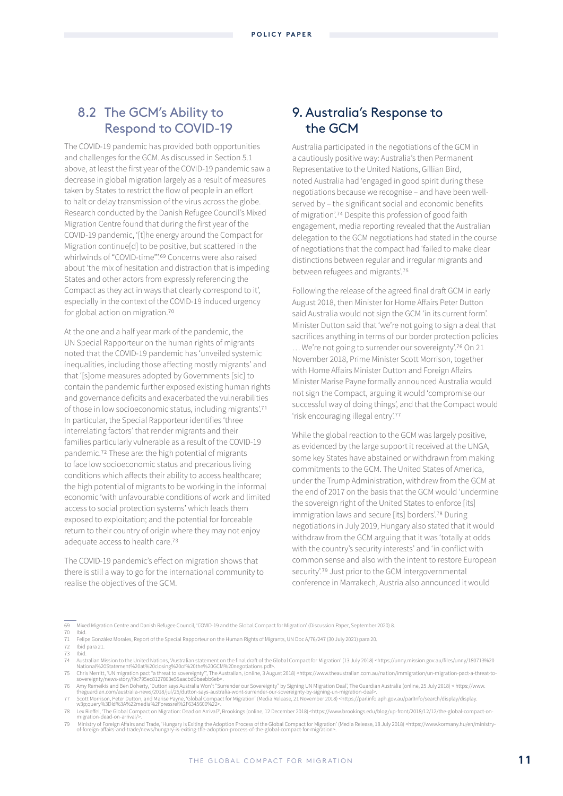#### <span id="page-10-0"></span>8.2 The GCM's Ability to Respond to COVID-19

The COVID-19 pandemic has provided both opportunities and challenges for the GCM. As discussed in Section 5.1 above, at least the first year of the COVID-19 pandemic saw a decrease in global migration largely as a result of measures taken by States to restrict the flow of people in an effort to halt or delay transmission of the virus across the globe. Research conducted by the Danish Refugee Council's Mixed Migration Centre found that during the first year of the COVID-19 pandemic, '[t]he energy around the Compact for Migration continue[d] to be positive, but scattered in the whirlwinds of "COVID-time"'.69 Concerns were also raised about 'the mix of hesitation and distraction that is impeding States and other actors from expressly referencing the Compact as they act in ways that clearly correspond to it', especially in the context of the COVID-19 induced urgency for global action on migration.70

At the one and a half year mark of the pandemic, the UN Special Rapporteur on the human rights of migrants noted that the COVID-19 pandemic has 'unveiled systemic inequalities, including those affecting mostly migrants' and that '[s]ome measures adopted by Governments [sic] to contain the pandemic further exposed existing human rights and governance deficits and exacerbated the vulnerabilities of those in low socioeconomic status, including migrants'.71 In particular, the Special Rapporteur identifies 'three interrelating factors' that render migrants and their families particularly vulnerable as a result of the COVID-19 pandemic.72 These are: the high potential of migrants to face low socioeconomic status and precarious living conditions which affects their ability to access healthcare; the high potential of migrants to be working in the informal economic 'with unfavourable conditions of work and limited access to social protection systems' which leads them exposed to exploitation; and the potential for forceable return to their country of origin where they may not enjoy adequate access to health care.73

The COVID-19 pandemic's effect on migration shows that there is still a way to go for the international community to realise the objectives of the GCM.

### 9. Australia's Response to the GCM

Australia participated in the negotiations of the GCM in a cautiously positive way: Australia's then Permanent Representative to the United Nations, Gillian Bird, noted Australia had 'engaged in good spirit during these negotiations because we recognise – and have been wellserved by – the significant social and economic benefits of migration'.74 Despite this profession of good faith engagement, media reporting revealed that the Australian delegation to the GCM negotiations had stated in the course of negotiations that the compact had 'failed to make clear distinctions between regular and irregular migrants and between refugees and migrants'.75

Following the release of the agreed final draft GCM in early August 2018, then Minister for Home Affairs Peter Dutton said Australia would not sign the GCM 'in its current form'. Minister Dutton said that 'we're not going to sign a deal that sacrifices anything in terms of our border protection policies … We're not going to surrender our sovereignty'.76 On 21 November 2018, Prime Minister Scott Morrison, together with Home Affairs Minister Dutton and Foreign Affairs Minister Marise Payne formally announced Australia would not sign the Compact, arguing it would 'compromise our successful way of doing things', and that the Compact would 'risk encouraging illegal entry'.77

While the global reaction to the GCM was largely positive, as evidenced by the large support it received at the UNGA, some key States have abstained or withdrawn from making commitments to the GCM. The United States of America, under the Trump Administration, withdrew from the GCM at the end of 2017 on the basis that the GCM would 'undermine the sovereign right of the United States to enforce [its] immigration laws and secure [its] borders'.<sup>78</sup> During negotiations in July 2019, Hungary also stated that it would withdraw from the GCM arguing that it was 'totally at odds with the country's security interests' and 'in conflict with common sense and also with the intent to restore European security'.<sup>79</sup> Just prior to the GCM intergovernmental conference in Marrakech, Austria also announced it would

<sup>69</sup> Mixed Migration Centre and Danish Refugee Council, 'COVID-19 and the Global Compact for Migration' (Discussion Paper, September 2020) 8.

<sup>70</sup> Ibid.<br>71 Felip 71 Felipe González Morales, Report of the Special Rapporteur on the Human Rights of Migrants, UN Doc A/76/247 (30 July 2021) para 20.<br>72 Ibid para 21

Ibid para 21.

<sup>73</sup> Ibid.

Australian Mission to the United Nations, 'Australian statement on the final draft of the Global Compact for Migration' (13 July 2018) <https://unny.mission.gov.au/files/unny/180713%2C<br>National%20Statement%20at%20closing%2

<sup>-75</sup> Chris Merritt, 'UN migration pact "a threat to sovereignty", The Australian, (online, 3 August 2018) <https://www.theaustralian.com.au/nation/immigration/un-migration-pact-a-threat-to-<br>sovereignty/news-story/f9c795ec81

<sup>76</sup> Amy Remeikis and Ben Doherty, 'Dutton says Australia Won't "Surrender our Sovereignty" by Signing UN Migration Deal', The Guardian Australia (online, 25 July 2018) < [https://www.](https://www.theguardian.com/australia-news/2018/jul/25/dutton-says-australia-wont-surrender-our-sovereignty-by-signing-un-migration-deal)<br>theguardian.com/australia-news/2018/jul/

<sup>78</sup> Lex Rieffel, 'The Global Compact on Migration: Dead on Arrival?', Brookings (online, 12 December 2018) <[https://www.brookings.edu/blog/up-front/2018/12/12/the-global-compact-on](https://www.brookings.edu/blog/up-front/2018/12/12/the-global-compact-on-migration-dead-on-arrival/)[migration-dead-on-arrival/>](https://www.brookings.edu/blog/up-front/2018/12/12/the-global-compact-on-migration-dead-on-arrival/).

<sup>-</sup>Ministry of Foreign Affairs and Trade, 'Hungary is Exiting the Adoption Process of the Global Compact for Migration' (Media Release, 18 July 2018) <https://www.kormany.hu/en/ministry<br>- of-foreign-affairs-and-trade/news/hu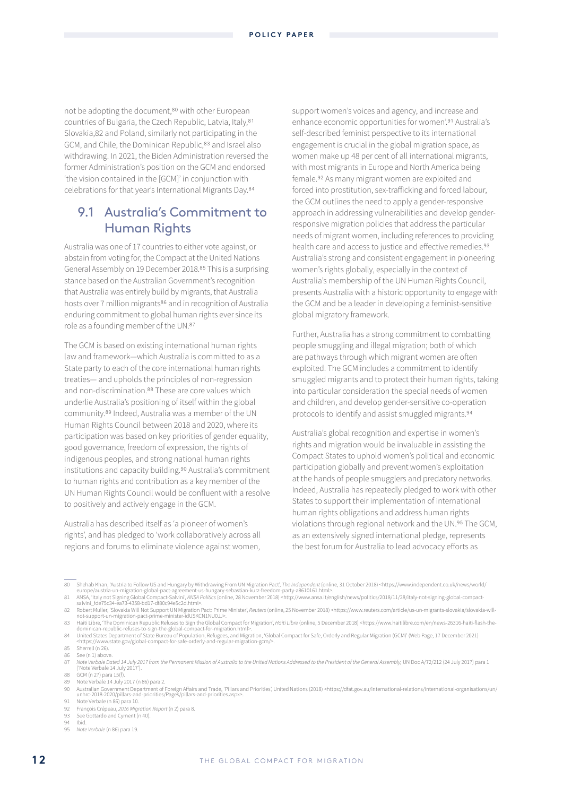<span id="page-11-0"></span>not be adopting the document,<sup>80</sup> with other European countries of Bulgaria, the Czech Republic, Latvia, Italy,81 Slovakia,82 and Poland, similarly not participating in the GCM, and Chile, the Dominican Republic,83 and Israel also withdrawing. In 2021, the Biden Administration reversed the former Administration's position on the GCM and endorsed 'the vision contained in the [GCM]' in conjunction with celebrations for that year's International Migrants Day.84

### 9.1 Australia's Commitment to Human Rights

Australia was one of 17 countries to either vote against, or abstain from voting for, the Compact at the United Nations General Assembly on 19 December 2018.85 This is a surprising stance based on the Australian Government's recognition that Australia was entirely build by migrants, that Australia hosts over 7 million migrants<sup>86</sup> and in recognition of Australia enduring commitment to global human rights ever since its role as a founding member of the UN.87

The GCM is based on existing international human rights law and framework—which Australia is committed to as a State party to each of the core international human rights treaties— and upholds the principles of non-regression and non-discrimination.<sup>88</sup> These are core values which underlie Australia's positioning of itself within the global community.89 Indeed, Australia was a member of the UN Human Rights Council between 2018 and 2020, where its participation was based on key priorities of gender equality, good governance, freedom of expression, the rights of indigenous peoples, and strong national human rights institutions and capacity building.90 Australia's commitment to human rights and contribution as a key member of the UN Human Rights Council would be confluent with a resolve to positively and actively engage in the GCM.

Australia has described itself as 'a pioneer of women's rights', and has pledged to 'work collaboratively across all regions and forums to eliminate violence against women,

support women's voices and agency, and increase and enhance economic opportunities for women'.<sup>91</sup> Australia's self-described feminist perspective to its international engagement is crucial in the global migration space, as women make up 48 per cent of all international migrants, with most migrants in Europe and North America being female.92 As many migrant women are exploited and forced into prostitution, sex-trafficking and forced labour, the GCM outlines the need to apply a gender-responsive approach in addressing vulnerabilities and develop genderresponsive migration policies that address the particular needs of migrant women, including references to providing health care and access to justice and effective remedies.<sup>93</sup> Australia's strong and consistent engagement in pioneering women's rights globally, especially in the context of Australia's membership of the UN Human Rights Council, presents Australia with a historic opportunity to engage with the GCM and be a leader in developing a feminist-sensitive global migratory framework.

Further, Australia has a strong commitment to combatting people smuggling and illegal migration; both of which are pathways through which migrant women are often exploited. The GCM includes a commitment to identify smuggled migrants and to protect their human rights, taking into particular consideration the special needs of women and children, and develop gender-sensitive co-operation protocols to identify and assist smuggled migrants.94

Australia's global recognition and expertise in women's rights and migration would be invaluable in assisting the Compact States to uphold women's political and economic participation globally and prevent women's exploitation at the hands of people smugglers and predatory networks. Indeed, Australia has repeatedly pledged to work with other States to support their implementation of international human rights obligations and address human rights violations through regional network and the UN.95 The GCM, as an extensively signed international pledge, represents the best forum for Australia to lead advocacy efforts as

85 Sherrell (n 26).

Note Verbale 14 July 2017 (n 86) para 2

<sup>80</sup> Shehab Khan, 'Austria to Follow US and Hungary by Withdrawing From UN Migration Pact', *The Independent* (online, 31 October 2018) [<https://www.independent.co.uk/news/world/](https://www.independent.co.uk/news/world/europe/austria-un-migration-global-pact-agreement-us-hungary-sebastian-kurz-freedom-party-a8610161.html)<br>europe/austria-un-migration-global-pact-agree

<sup>-</sup>Robert Muller, 'Slovakia Will Not Support UN Migration Pact: Prime Minister', *Reuters (*online, 25 November 2018) <https://www.reuters.com/article/us-un-migrants-slovakia/slovakia-will not-support-un-migration-pact-prime

<sup>-83</sup> Haiti Libre, 'The Dominican Republic Refuses to Sign the Global Compact for Migration', *Haiti Libre (*online, 5 December 2018) <https://www.haitilibre.com/en/news-26316-haiti-flash-the<br>dominican-republic-refuses-to-si 84 United States Department of State Bureau of Population, Refugees, and Migration, 'Global Compact for Safe, Orderly and Regular Migration (GCM)' (Web Page, 17 December 2021)<br>https://www.state.gov/global-compact-for-safe

<sup>86</sup> See (n 1) above 87 Note Verbale Dated 14 July 2017 from the Permanent Mission of Australia to the United Nations Addressed to the President of the General Assembly, UN Doc A/72/212 (24 July 2017) para 1<br>('Note Verbale 14 July 2017').

<sup>88</sup> GCM (n 27) para 15(f).

of Australian Government Department of Foreign Affairs and Trade, 'Pillars and Priorities', United Nations (2018) <[https://dfat.gov.au/international-relations/international-organisations/un/](https://dfat.gov.au/international-relations/international-organisations/un/unhrc-2018-2020/pillars-and-priorities/Pages/pillars-and-priorities.aspx) unhrc-2018-2020/pillars-and-pr 91 Note Verbale (n 86) para 10.

<sup>92</sup> François Crépeau, *2016 Migration Report* (n 2) para 8. See Gottardo and Cyment (n 40)

<sup>94</sup> Ibid.<br>95 Note 95 Note Verbale (n 86) para 19.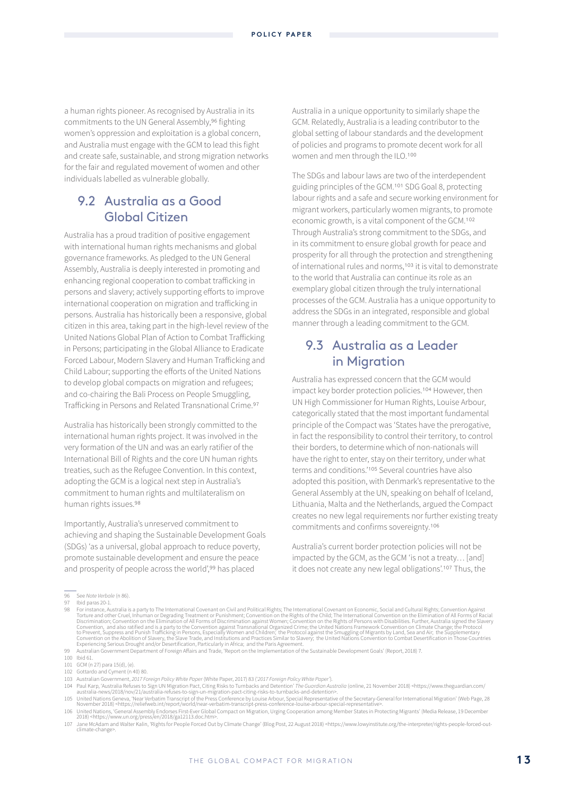<span id="page-12-0"></span>a human rights pioneer. As recognised by Australia in its commitments to the UN General Assembly,96 fighting women's oppression and exploitation is a global concern, and Australia must engage with the GCM to lead this fight and create safe, sustainable, and strong migration networks for the fair and regulated movement of women and other individuals labelled as vulnerable globally.

#### 9.2 Australia as a Good Global Citizen

Australia has a proud tradition of positive engagement with international human rights mechanisms and global governance frameworks. As pledged to the UN General Assembly, Australia is deeply interested in promoting and enhancing regional cooperation to combat trafficking in persons and slavery; actively supporting efforts to improve international cooperation on migration and trafficking in persons. Australia has historically been a responsive, global citizen in this area, taking part in the high-level review of the United Nations Global Plan of Action to Combat Trafficking in Persons; participating in the Global Alliance to Eradicate Forced Labour, Modern Slavery and Human Trafficking and Child Labour; supporting the efforts of the United Nations to develop global compacts on migration and refugees; and co-chairing the Bali Process on People Smuggling, Trafficking in Persons and Related Transnational Crime.97

Australia has historically been strongly committed to the international human rights project. It was involved in the very formation of the UN and was an early ratifier of the International Bill of Rights and the core UN human rights treaties, such as the Refugee Convention. In this context, adopting the GCM is a logical next step in Australia's commitment to human rights and multilateralism on human rights issues.98

Importantly, Australia's unreserved commitment to achieving and shaping the Sustainable Development Goals (SDGs) 'as a universal, global approach to reduce poverty, promote sustainable development and ensure the peace and prosperity of people across the world',<sup>99</sup> has placed

Australia in a unique opportunity to similarly shape the GCM. Relatedly, Australia is a leading contributor to the global setting of labour standards and the development of policies and programs to promote decent work for all women and men through the ILO.100

The SDGs and labour laws are two of the interdependent guiding principles of the GCM.<sup>101</sup> SDG Goal 8, protecting labour rights and a safe and secure working environment for migrant workers, particularly women migrants, to promote economic growth, is a vital component of the GCM.102 Through Australia's strong commitment to the SDGs, and in its commitment to ensure global growth for peace and prosperity for all through the protection and strengthening of international rules and norms,<sup>103</sup> it is vital to demonstrate to the world that Australia can continue its role as an exemplary global citizen through the truly international processes of the GCM. Australia has a unique opportunity to address the SDGs in an integrated, responsible and global manner through a leading commitment to the GCM.

#### 9.3 Australia as a Leader in Migration

Australia has expressed concern that the GCM would impact key border protection policies.<sup>104</sup> However, then UN High Commissioner for Human Rights, Louise Arbour, categorically stated that the most important fundamental principle of the Compact was 'States have the prerogative, in fact the responsibility to control their territory, to control their borders, to determine which of non-nationals will have the right to enter, stay on their territory, under what terms and conditions.'105 Several countries have also adopted this position, with Denmark's representative to the General Assembly at the UN, speaking on behalf of Iceland, Lithuania, Malta and the Netherlands, argued the Compact creates no new legal requirements nor further existing treaty commitments and confirms sovereignty.106

Australia's current border protection policies will not be impacted by the GCM, as the GCM 'is not a treaty... [and] it does not create any new legal obligations'.107 Thus, the

100 Ibid 61.

- 101 GCM (n 27) para 15(d), (e).
- 102 Gottardo and Cyment (n 40) 80.
- 103 Australian Government, 2017 Foreign Policy White Paper (White Paper, 2017) 83 ('2017 Foreign Policy White Paper').
- 104 Paul Karp, 'Australia Refuses to Sign UN Migration Pact, Citing Risks to Turnbacks and Detention' *The Guardian Australia (*Anine, 21 November 2018) [<https://www.theguardian.com/](https://www.theguardian.com/australia-news/2018/nov/21/australia-refuses-to-sign-un-migration-pact-citing-risks-to-turnbacks-and-detention)<br>australia-news/2018/nov/21/australia-re

<sup>96</sup> See Note Verbale (n 86).<br>97 Ibid paras 20-1

<sup>97</sup> Ibid paras 20-1.<br>98 Eorinstance Au

For instance, Australia is a party to The International Covenant on Civil and Political Rights; The International Covenant on Corel and Cultural Rights of the Child; The International Covenanton Corel and Cultural Rights o

November 2018) <<https://reliefweb.int/report/world/near-verbatim-transcript-press-conference-louise-arbour-special-representative>>. 106 United Nations, 'General Assembly Endorses First-Ever Global Compact on Migration, Urging Cooperation among Member States in Protecting Migrants' (Media Release, 19 December<br>2018) <https://www.un.org/press/en/2018/ga12

<sup>107</sup> Jane McAdam and Walter Kalin, 'Rights for People Forced Out by Climate Change' (Blog Post, 22 August 2018) <[https://www.lowyinstitute.org/the-interpreter/rights-people-forced-out-](https://www.lowyinstitute.org/the-interpreter/rights-people-forced-out-climate-change)[climate-change>](https://www.lowyinstitute.org/the-interpreter/rights-people-forced-out-climate-change).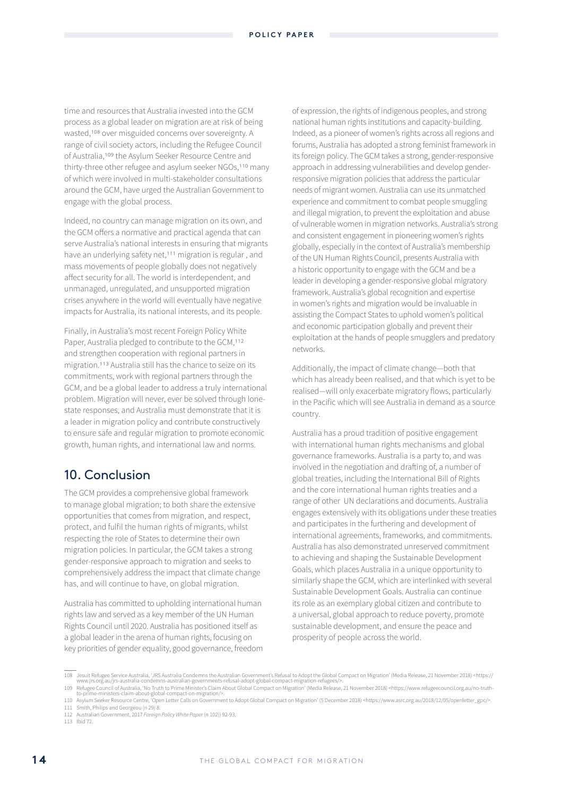<span id="page-13-0"></span>time and resources that Australia invested into the GCM process as a global leader on migration are at risk of being wasted,108 over misguided concerns over sovereignty. A range of civil society actors, including the Refugee Council of Australia,109 the Asylum Seeker Resource Centre and thirty-three other refugee and asylum seeker NGOs,110 many of which were involved in multi-stakeholder consultations around the GCM, have urged the Australian Government to engage with the global process.

Indeed, no country can manage migration on its own, and the GCM offers a normative and practical agenda that can serve Australia's national interests in ensuring that migrants have an underlying safety net,<sup>111</sup> migration is regular, and mass movements of people globally does not negatively affect security for all. The world is interdependent, and unmanaged, unregulated, and unsupported migration crises anywhere in the world will eventually have negative impacts for Australia, its national interests, and its people.

Finally, in Australia's most recent Foreign Policy White Paper, Australia pledged to contribute to the GCM,<sup>112</sup> and strengthen cooperation with regional partners in migration.113 Australia still has the chance to seize on its commitments, work with regional partners through the GCM, and be a global leader to address a truly international problem. Migration will never, ever be solved through lonestate responses, and Australia must demonstrate that it is a leader in migration policy and contribute constructively to ensure safe and regular migration to promote economic growth, human rights, and international law and norms.

#### 10. Conclusion

The GCM provides a comprehensive global framework to manage global migration; to both share the extensive opportunities that comes from migration, and respect, protect, and fulfil the human rights of migrants, whilst respecting the role of States to determine their own migration policies. In particular, the GCM takes a strong gender-responsive approach to migration and seeks to comprehensively address the impact that climate change has, and will continue to have, on global migration.

Australia has committed to upholding international human rights law and served as a key member of the UN Human Rights Council until 2020. Australia has positioned itself as a global leader in the arena of human rights, focusing on key priorities of gender equality, good governance, freedom

of expression, the rights of indigenous peoples, and strong national human rights institutions and capacity-building. Indeed, as a pioneer of women's rights across all regions and forums, Australia has adopted a strong feminist framework in its foreign policy. The GCM takes a strong, gender-responsive approach in addressing vulnerabilities and develop genderresponsive migration policies that address the particular needs of migrant women. Australia can use its unmatched experience and commitment to combat people smuggling and illegal migration, to prevent the exploitation and abuse of vulnerable women in migration networks. Australia's strong and consistent engagement in pioneering women's rights globally, especially in the context of Australia's membership of the UN Human Rights Council, presents Australia with a historic opportunity to engage with the GCM and be a leader in developing a gender-responsive global migratory framework. Australia's global recognition and expertise in women's rights and migration would be invaluable in assisting the Compact States to uphold women's political and economic participation globally and prevent their exploitation at the hands of people smugglers and predatory networks.

Additionally, the impact of climate change—both that which has already been realised, and that which is yet to be realised—will only exacerbate migratory flows, particularly in the Pacific which will see Australia in demand as a source country.

Australia has a proud tradition of positive engagement with international human rights mechanisms and global governance frameworks. Australia is a party to, and was involved in the negotiation and drafting of, a number of global treaties, including the International Bill of Rights and the core international human rights treaties and a range of other UN declarations and documents. Australia engages extensively with its obligations under these treaties and participates in the furthering and development of international agreements, frameworks, and commitments. Australia has also demonstrated unreserved commitment to achieving and shaping the Sustainable Development Goals, which places Australia in a unique opportunity to similarly shape the GCM, which are interlinked with several Sustainable Development Goals. Australia can continue its role as an exemplary global citizen and contribute to a universal, global approach to reduce poverty, promote sustainable development, and ensure the peace and prosperity of people across the world.

<sup>108</sup> Jesuit Refugee Service Australia, 'JRS Australia Condemns the Australian Government's Refusal to Adopt the Global Compact on Migration' (Media Release, 21 November 2018) <[https://](https://www.jrs.org.au/jrs-australia-condemns-australian-governments-refusal-adopt-global-compact-migration-refugees/) [www.jrs.org.au/jrs-australia-condemns-australian-governments-refusal-adopt-global-compact-migration-refugees/>](https://www.jrs.org.au/jrs-australia-condemns-australian-governments-refusal-adopt-global-compact-migration-refugees/). 109 Refugee Council of Australia, 'No Truth to Prime Minister's Claim About Global Compact on Migration' (Media Release, 21 November 2018) <[https://www.refugeecouncil.org.au/no-truth-](https://www.refugeecouncil.org.au/no-truth-to-prime-ministers-claim-about-global-compact-on-migration/)

[to-prime-ministers-claim-about-global-compact-on-migration/](https://www.refugeecouncil.org.au/no-truth-to-prime-ministers-claim-about-global-compact-on-migration/)>. 110 Asylum Seeker Resource Centre, 'Open Letter Calls on Government to Adopt Global Compact on Migration' (5 December 2018) <[https://www.asrc.org.au/2018/12/05/openletter\\_gpc/>](https://www.asrc.org.au/2018/12/05/openletter_gpc/).

<sup>111</sup> Smith, Philips and Georgeou (n 29) 8.

<sup>112</sup> Australian Government, 2017 Foreign Policy White Paper (n 102)) 92-93.

<sup>113</sup> Ibid 72.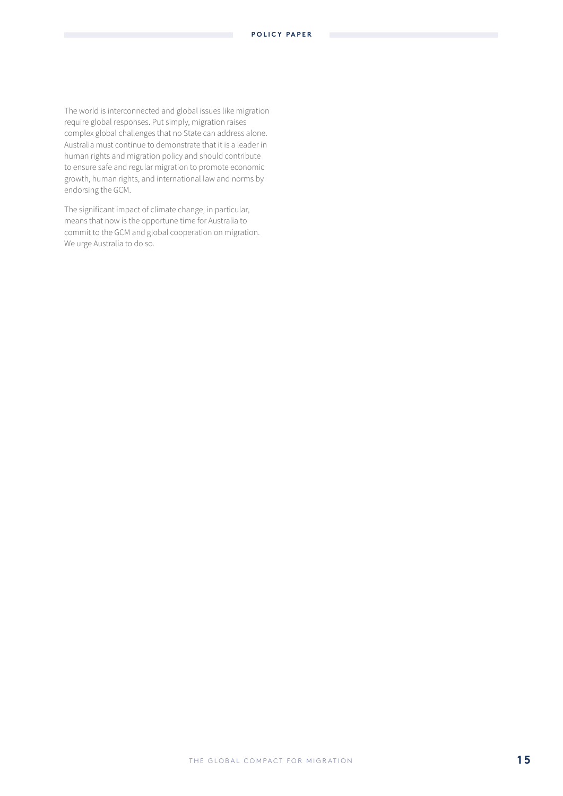The world is interconnected and global issues like migration require global responses. Put simply, migration raises complex global challenges that no State can address alone. Australia must continue to demonstrate that it is a leader in human rights and migration policy and should contribute to ensure safe and regular migration to promote economic growth, human rights, and international law and norms by endorsing the GCM.

The significant impact of climate change, in particular, means that now is the opportune time for Australia to commit to the GCM and global cooperation on migration. We urge Australia to do so.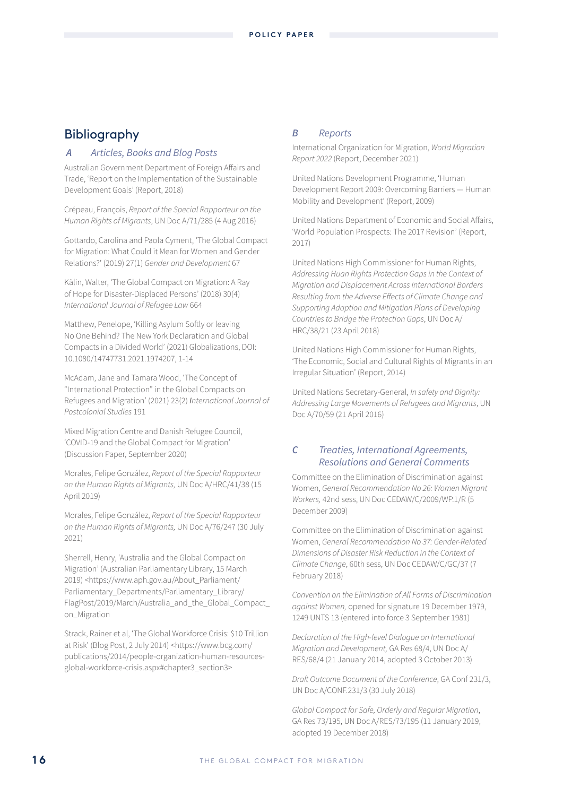#### <span id="page-15-0"></span>**Bibliography**

#### *A Articles, Books and Blog Posts*

Australian Government Department of Foreign Affairs and Trade, 'Report on the Implementation of the Sustainable Development Goals' (Report, 2018)

Crépeau, François, *Report of the Special Rapporteur on the*  Human Rights of Migrants, UN Doc A/71/285 (4 Aug 2016)

Gottardo, Carolina and Paola Cyment, 'The Global Compact for Migration: What Could it Mean for Women and Gender Relations?' (2019) 27(1) Gender and Development 67

Kälin, Walter, 'The Global Compact on Migration: A Ray of Hope for Disaster-Displaced Persons' (2018) 30(4) International Journal of Refugee Law 664

Matthew, Penelope, 'Killing Asylum Softly or leaving No One Behind? The New York Declaration and Global Compacts in a Divided World' (2021) Globalizations, DOI: 10.1080/14747731.2021.1974207, 1-14

McAdam, Jane and Tamara Wood, 'The Concept of "International Protection" in the Global Compacts on Refugees and Migration' (2021) 23(2) *International Journal of*  Postcolonial Studies 191

Mixed Migration Centre and Danish Refugee Council, 'COVID-19 and the Global Compact for Migration' (Discussion Paper, September 2020)

Morales, Felipe González, *Report of the Special Rapporteur*  on the Human Rights of Migrants, UN Doc A/HRC/41/38 (15 April 2019)

Morales, Felipe González, *Report of the Special Rapporteur*  on the Human Rights of Migrants, UN Doc A/76/247 (30 July 2021)

Sherrell, Henry, 'Australia and the Global Compact on Migration' (Australian Parliamentary Library, 15 March 2019) <[https://www.aph.gov.au/About\\_Parliament/](https://www.aph.gov.au/About_Parliament/Parliamentary_Departments/Parliamentary_Library/FlagPost/2019/March/Australia_and_the_Global_Compact_on_Migration) [Parliamentary\\_Departments/Parliamentary\\_Library/](https://www.aph.gov.au/About_Parliament/Parliamentary_Departments/Parliamentary_Library/FlagPost/2019/March/Australia_and_the_Global_Compact_on_Migration) [FlagPost/2019/March/Australia\\_and\\_the\\_Global\\_Compact\\_](https://www.aph.gov.au/About_Parliament/Parliamentary_Departments/Parliamentary_Library/FlagPost/2019/March/Australia_and_the_Global_Compact_on_Migration) [on\\_Migration](https://www.aph.gov.au/About_Parliament/Parliamentary_Departments/Parliamentary_Library/FlagPost/2019/March/Australia_and_the_Global_Compact_on_Migration)

Strack, Rainer et al, 'The Global Workforce Crisis: \$10 Trillion at Risk' (Blog Post, 2 July 2014) <[https://www.bcg.com/](https://www.bcg.com/publications/2014/people-organization-human-resources-global-workforce-crisis.aspx#chapter3_section3) [publications/2014/people-organization-human-resources](https://www.bcg.com/publications/2014/people-organization-human-resources-global-workforce-crisis.aspx#chapter3_section3)[global-workforce-crisis.aspx#chapter3\\_section3](https://www.bcg.com/publications/2014/people-organization-human-resources-global-workforce-crisis.aspx#chapter3_section3)>

#### *B Reports*

International Organization for Migration, *World Migration Report 2022* (Report, December 2021)

United Nations Development Programme, 'Human Development Report 2009: Overcoming Barriers — Human Mobility and Development' (Report, 2009)

United Nations Department of Economic and Social Affairs, 'World Population Prospects: The 2017 Revision' (Report, 2017)

United Nations High Commissioner for Human Rights, Addressing Huan Rights Protection Gaps in the Context of Migration and Displacement Across International Borders Resulting from the Adverse Effects of Climate Change and Supporting Adaption and Mitigation Plans of Developing Countries to Bridge the Protection Gaps, UN Doc A/ HRC/38/21 (23 April 2018)

United Nations High Commissioner for Human Rights, 'The Economic, Social and Cultural Rights of Migrants in an Irregular Situation' (Report, 2014)

United Nations Secretary-General, In safety and Dignity: Addressing Large Movements of Refugees and Migrants, UN Doc A/70/59 (21 April 2016)

#### *C Treaties, International Agreements, Resolutions and General Comments*

Committee on the Elimination of Discrimination against Women, General Recommendation No 26: Women Migrant Workers, 42nd sess, UN Doc CEDAW/C/2009/WP.1/R (5 December 2009)

Committee on the Elimination of Discrimination against Women, General Recommendation No 37: Gender-Related Dimensions of Disaster Risk Reduction in the Context of Climate Change, 60th sess, UN Doc CEDAW/C/GC/37 (7 February 2018)

Convention on the Elimination of All Forms of Discrimination against Women, opened for signature 19 December 1979, 1249 UNTS 13 (entered into force 3 September 1981)

Declaration of the High-level Dialogue on International Migration and Development, GA Res 68/4, UN Doc A/ RES/68/4 (21 January 2014, adopted 3 October 2013)

Draft Outcome Document of the Conference, GA Conf 231/3, UN Doc A/CONF.231/3 (30 July 2018)

Global Compact for Safe, Orderly and Regular Migration, GA Res 73/195, UN Doc A/RES/73/195 (11 January 2019, adopted 19 December 2018)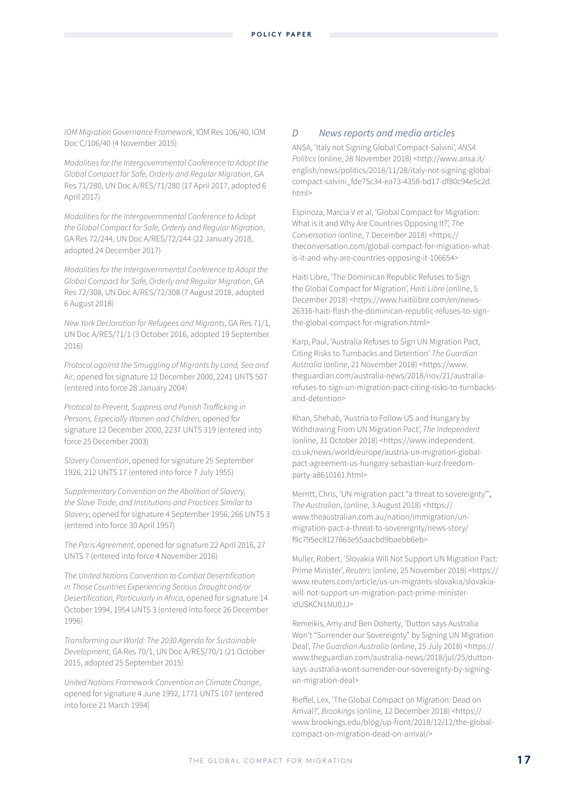<span id="page-16-0"></span>IOM Migration Governance Framework, IOM Res 106/40, IOM Doc C/106/40 (4 November 2015)

Modalities for the Intergovernmental Conference to Adopt the Global Compact for Safe, Orderly and Regular Migration, GA Res 71/280, UN Doc A/RES/71/280 (17 April 2017, adopted 6 April 2017)

Modalities for the Intergovernmental Conference to Adopt the Global Compact for Safe, Orderly and Regular Migration, GA Res 72/244, UN Doc A/RES/72/244 (22 January 2018, adopted 24 December 2017)

Modalities for the Intergovernmental Conference to Adopt the Global Compact for Safe, Orderly and Regular Migration, GA Res 72/308, UN Doc A/RES/72/308 (7 August 2018, adopted 6 August 2018)

New York Declaration for Refugees and Migrants, GA Res 71/1, UN Doc A/RES/71/1 (3 October 2016, adopted 19 September 2016)

Protocol against the Smuggling of Migrants by Land, Sea and Air, opened for signature 12 December 2000, 2241 UNTS 507 (entered into force 28 January 2004)

Protocol to Prevent, Suppress and Punish Trafficking in Persons, Especially Women and Children, opened for signature 12 December 2000, 2237 UNTS 319 (entered into force 25 December 2003)

Slavery Convention, opened for signature 25 September 1926, 212 UNTS 17 (entered into force 7 July 1955)

Supplementary Convention on the Abolition of Slavery, the Slave Trade, and Institutions and Practices Similar to Slavery, opened for signature 4 September 1956, 266 UNTS 3 (entered into force 30 April 1957)

The Paris Agreement, opened for signature 22 April 2016, 27 UNTS 7 (entered into force 4 November 2016)

The United Nations Convention to Combat Desertification in Those Countries Experiencing Serious Drought and/or Desertification, Particularly in Africa, opened for signature 14 October 1994, 1954 UNTS 3 (entered into force 26 December 1996)

Transforming our World: The 2030 Agenda for Sustainable Development, GA Res 70/1, UN Doc A/RES/70/1 (21 October 2015, adopted 25 September 2015)

United Nations Framework Convention on Climate Change, opened for signature 4 June 1992, 1771 UNTS 107 (entered into force 21 March 1994)

#### *D News reports and media articles*

ANSA, 'Italy not Signing Global Compact-Salvini', ANSA Politics (online, 28 November 2018) [<http://www.ansa.it/](http://www.ansa.it/english/news/politics/2018/11/28/italy-not-signing-global-compact-salvini_fde75c34-ea73-4358-bd17-df80c94e5c2d.html) [english/news/politics/2018/11/28/italy-not-signing-global](http://www.ansa.it/english/news/politics/2018/11/28/italy-not-signing-global-compact-salvini_fde75c34-ea73-4358-bd17-df80c94e5c2d.html)[compact-salvini\\_fde75c34-ea73-4358-bd17-df80c94e5c2d.](http://www.ansa.it/english/news/politics/2018/11/28/italy-not-signing-global-compact-salvini_fde75c34-ea73-4358-bd17-df80c94e5c2d.html) [html>](http://www.ansa.it/english/news/politics/2018/11/28/italy-not-signing-global-compact-salvini_fde75c34-ea73-4358-bd17-df80c94e5c2d.html)

Espinoza, Marcia V et al, 'Global Compact for Migration: What is it and Why Are Countries Opposing It?', *The*  Conversation (online, 7 December 2018) <[https://](https://theconversation.com/global-compact-for-migration-what-is-it-and-why-are-countries-opposing-it-106654) [theconversation.com/global-compact-for-migration-what](https://theconversation.com/global-compact-for-migration-what-is-it-and-why-are-countries-opposing-it-106654)[is-it-and-why-are-countries-opposing-it-106654>](https://theconversation.com/global-compact-for-migration-what-is-it-and-why-are-countries-opposing-it-106654)

Haiti Libre, 'The Dominican Republic Refuses to Sign the Global Compact for Migration', Haiti Libre (online, 5 December 2018) [<https://www.haitilibre.com/en/news-](https://www.haitilibre.com/en/news-26316-haiti-flash-the-dominican-republic-refuses-to-sign-the-global-compact-for-migration.html)[26316-haiti-flash-the-dominican-republic-refuses-to-sign](https://www.haitilibre.com/en/news-26316-haiti-flash-the-dominican-republic-refuses-to-sign-the-global-compact-for-migration.html)[the-global-compact-for-migration.html](https://www.haitilibre.com/en/news-26316-haiti-flash-the-dominican-republic-refuses-to-sign-the-global-compact-for-migration.html)>

Karp, Paul, 'Australia Refuses to Sign UN Migration Pact, Citing Risks to Turnbacks and Detention' The Guardian Australia (online, 21 November 2018) <[https://www.](https://www.theguardian.com/australia-news/2018/nov/21/australia-refuses-to-sign-un-migration-pact-citing-risks-to-turnbacks-and-detention) [theguardian.com/australia-news/2018/nov/21/australia](https://www.theguardian.com/australia-news/2018/nov/21/australia-refuses-to-sign-un-migration-pact-citing-risks-to-turnbacks-and-detention)[refuses-to-sign-un-migration-pact-citing-risks-to-turnbacks](https://www.theguardian.com/australia-news/2018/nov/21/australia-refuses-to-sign-un-migration-pact-citing-risks-to-turnbacks-and-detention)[and-detention](https://www.theguardian.com/australia-news/2018/nov/21/australia-refuses-to-sign-un-migration-pact-citing-risks-to-turnbacks-and-detention)>

Khan, Shehab, 'Austria to Follow US and Hungary by Withdrawing From UN Migration Pact', *The Independent*  (online, 31 October 2018) <[https://www.independent.](https://www.independent.co.uk/news/world/europe/austria-un-migration-global-pact-agreement-us-hungary-sebastian-kurz-freedom-party-a8610161.html) [co.uk/news/world/europe/austria-un-migration-global](https://www.independent.co.uk/news/world/europe/austria-un-migration-global-pact-agreement-us-hungary-sebastian-kurz-freedom-party-a8610161.html)[pact-agreement-us-hungary-sebastian-kurz-freedom](https://www.independent.co.uk/news/world/europe/austria-un-migration-global-pact-agreement-us-hungary-sebastian-kurz-freedom-party-a8610161.html)[party-a8610161.html](https://www.independent.co.uk/news/world/europe/austria-un-migration-global-pact-agreement-us-hungary-sebastian-kurz-freedom-party-a8610161.html)>

Merritt, Chris, 'UN migration pact "a threat to sovereignty"'*,*  The Australian, (online, 3 August 2018) <[https://](https://www.theaustralian.com.au/nation/immigration/un-migration-pact-a-threat-to-sovereignty/news-story/f9c795ec8127863e55aacbd9baebb6eb) [www.theaustralian.com.au/nation/immigration/un](https://www.theaustralian.com.au/nation/immigration/un-migration-pact-a-threat-to-sovereignty/news-story/f9c795ec8127863e55aacbd9baebb6eb)[migration-pact-a-threat-to-sovereignty/news-story/](https://www.theaustralian.com.au/nation/immigration/un-migration-pact-a-threat-to-sovereignty/news-story/f9c795ec8127863e55aacbd9baebb6eb) [f9c795ec8127863e55aacbd9baebb6eb](https://www.theaustralian.com.au/nation/immigration/un-migration-pact-a-threat-to-sovereignty/news-story/f9c795ec8127863e55aacbd9baebb6eb)>

Muller, Robert, 'Slovakia Will Not Support UN Migration Pact: Prime Minister', Reuters (online, 25 November 2018) <[https://](https://www.reuters.com/article/us-un-migrants-slovakia/slovakia-will-not-support-un-migration-pact-prime-minister-idUSKCN1NU0JJ) [www.reuters.com/article/us-un-migrants-slovakia/slovakia](https://www.reuters.com/article/us-un-migrants-slovakia/slovakia-will-not-support-un-migration-pact-prime-minister-idUSKCN1NU0JJ)[will-not-support-un-migration-pact-prime-minister](https://www.reuters.com/article/us-un-migrants-slovakia/slovakia-will-not-support-un-migration-pact-prime-minister-idUSKCN1NU0JJ)[idUSKCN1NU0JJ](https://www.reuters.com/article/us-un-migrants-slovakia/slovakia-will-not-support-un-migration-pact-prime-minister-idUSKCN1NU0JJ)>

Remeikis, Amy and Ben Doherty, 'Dutton says Australia Won't "Surrender our Sovereignty" by Signing UN Migration Deal', The Guardian Australia (online, 25 July 2018) [<https://](https://www.theguardian.com/australia-news/2018/jul/25/dutton-says-australia-wont-surrender-our-sovereignty-by-signing-un-migration-deal) [www.theguardian.com/australia-news/2018/jul/25/dutton](https://www.theguardian.com/australia-news/2018/jul/25/dutton-says-australia-wont-surrender-our-sovereignty-by-signing-un-migration-deal)[says-australia-wont-surrender-our-sovereignty-by-signing](https://www.theguardian.com/australia-news/2018/jul/25/dutton-says-australia-wont-surrender-our-sovereignty-by-signing-un-migration-deal)[un-migration-deal>](https://www.theguardian.com/australia-news/2018/jul/25/dutton-says-australia-wont-surrender-our-sovereignty-by-signing-un-migration-deal)

Rieffel, Lex, 'The Global Compact on Migration: Dead on Arrival?', Brookings(online, 12 December 2018) [<https://](https://www.brookings.edu/blog/up-front/2018/12/12/the-global-compact-on-migration-dead-on-arrival/) [www.brookings.edu/blog/up-front/2018/12/12/the-global](https://www.brookings.edu/blog/up-front/2018/12/12/the-global-compact-on-migration-dead-on-arrival/)[compact-on-migration-dead-on-arrival/](https://www.brookings.edu/blog/up-front/2018/12/12/the-global-compact-on-migration-dead-on-arrival/)>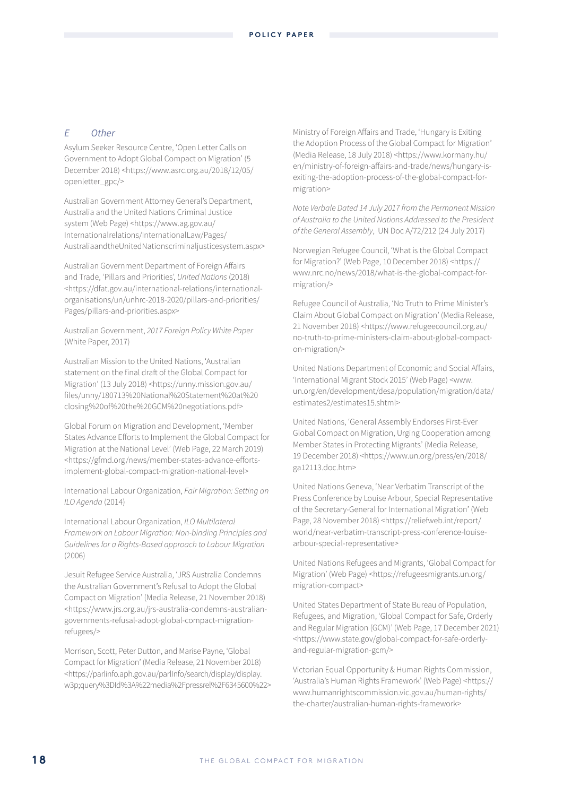#### <span id="page-17-0"></span>*E Other*

Asylum Seeker Resource Centre, 'Open Letter Calls on Government to Adopt Global Compact on Migration' (5 December 2018) [<https://www.asrc.org.au/2018/12/05/](https://www.asrc.org.au/2018/12/05/openletter_gpc/) [openletter\\_gpc/](https://www.asrc.org.au/2018/12/05/openletter_gpc/)>

Australian Government Attorney General's Department, Australia and the United Nations Criminal Justice system (Web Page) [<https://www.ag.gov.au/](https://www.ag.gov.au/Internationalrelations/InternationalLaw/Pages/AustraliaandtheUnitedNationscriminaljusticesystem.aspx) [Internationalrelations/InternationalLaw/Pages/](https://www.ag.gov.au/Internationalrelations/InternationalLaw/Pages/AustraliaandtheUnitedNationscriminaljusticesystem.aspx) [AustraliaandtheUnitedNationscriminaljusticesystem.aspx>](https://www.ag.gov.au/Internationalrelations/InternationalLaw/Pages/AustraliaandtheUnitedNationscriminaljusticesystem.aspx)

Australian Government Department of Foreign Affairs and Trade, 'Pillars and Priorities', United Nations (2018) [<https://dfat.gov.au/international-relations/international](https://dfat.gov.au/international-relations/international-organisations/un/unhrc-2018-2020/pillars-and-priorities/Pages/pillars-and-priorities.aspx)[organisations/un/unhrc-2018-2020/pillars-and-priorities/](https://dfat.gov.au/international-relations/international-organisations/un/unhrc-2018-2020/pillars-and-priorities/Pages/pillars-and-priorities.aspx) [Pages/pillars-and-priorities.aspx](https://dfat.gov.au/international-relations/international-organisations/un/unhrc-2018-2020/pillars-and-priorities/Pages/pillars-and-priorities.aspx)>

Australian Government, 2017 Foreign Policy White Paper (White Paper, 2017)

Australian Mission to the United Nations, 'Australian statement on the final draft of the Global Compact for Migration' (13 July 2018) <[https://unny.mission.gov.au/](https://unny.mission.gov.au/files/unny/180713%20National%20Statement%20at%20closing%20of%20the%20GCM%20negotiations.pdf) [files/unny/180713%20National%20Statement%20at%20](https://unny.mission.gov.au/files/unny/180713%20National%20Statement%20at%20closing%20of%20the%20GCM%20negotiations.pdf) [closing%20of%20the%20GCM%20negotiations.pdf](https://unny.mission.gov.au/files/unny/180713%20National%20Statement%20at%20closing%20of%20the%20GCM%20negotiations.pdf)>

Global Forum on Migration and Development, 'Member States Advance Efforts to Implement the Global Compact for Migration at the National Level' (Web Page, 22 March 2019) <[https://gfmd.org/news/member-states-advance-efforts](https://gfmd.org/news/member-states-advance-efforts-implement-global-compact-migration-national-level)[implement-global-compact-migration-national-level>](https://gfmd.org/news/member-states-advance-efforts-implement-global-compact-migration-national-level)

International Labour Organization, Fair Migration: Setting an ILO Agenda (2014)

International Labour Organization, ILO Multilateral Framework on Labour Migration: Non-binding Principles and Guidelines for a Rights-Based approach to Labour Migration (2006)

Jesuit Refugee Service Australia, 'JRS Australia Condemns the Australian Government's Refusal to Adopt the Global Compact on Migration' (Media Release, 21 November 2018) [<https://www.jrs.org.au/jrs-australia-condemns-australian](https://www.jrs.org.au/jrs-australia-condemns-australian-governments-refusal-adopt-global-compact-migration-refugees/)[governments-refusal-adopt-global-compact-migration](https://www.jrs.org.au/jrs-australia-condemns-australian-governments-refusal-adopt-global-compact-migration-refugees/)[refugees/>](https://www.jrs.org.au/jrs-australia-condemns-australian-governments-refusal-adopt-global-compact-migration-refugees/)

Morrison, Scott, Peter Dutton, and Marise Payne, 'Global Compact for Migration' (Media Release, 21 November 2018) [<https://parlinfo.aph.gov.au/parlInfo/search/display/display.](https://parlinfo.aph.gov.au/parlInfo/search/display/display.w3p;query%3DId%3A%22media%2Fpressrel%2F6345600%22) [w3p;query%3DId%3A%22media%2Fpressrel%2F6345600%22](https://parlinfo.aph.gov.au/parlInfo/search/display/display.w3p;query%3DId%3A%22media%2Fpressrel%2F6345600%22)> Ministry of Foreign Affairs and Trade, 'Hungary is Exiting the Adoption Process of the Global Compact for Migration' (Media Release, 18 July 2018) [<https://www.kormany.hu/](https://www.kormany.hu/en/ministry-of-foreign-affairs-and-trade/news/hungary-is-exiting-the-adoption-process-of-the-global-compact-for-migration) [en/ministry-of-foreign-affairs-and-trade/news/hungary-is](https://www.kormany.hu/en/ministry-of-foreign-affairs-and-trade/news/hungary-is-exiting-the-adoption-process-of-the-global-compact-for-migration)[exiting-the-adoption-process-of-the-global-compact-for](https://www.kormany.hu/en/ministry-of-foreign-affairs-and-trade/news/hungary-is-exiting-the-adoption-process-of-the-global-compact-for-migration)[migration](https://www.kormany.hu/en/ministry-of-foreign-affairs-and-trade/news/hungary-is-exiting-the-adoption-process-of-the-global-compact-for-migration)>

Note Verbale Dated 14 July 2017 from the Permanent Mission of Australia to the United Nations Addressed to the President of the General Assembly, UN Doc A/72/212 (24 July 2017)

Norwegian Refugee Council, 'What is the Global Compact for Migration?' (Web Page, 10 December 2018) [<https://](https://www.nrc.no/news/2018/what-is-the-global-compact-for-migration/) [www.nrc.no/news/2018/what-is-the-global-compact-for](https://www.nrc.no/news/2018/what-is-the-global-compact-for-migration/)[migration/](https://www.nrc.no/news/2018/what-is-the-global-compact-for-migration/)>

Refugee Council of Australia, 'No Truth to Prime Minister's Claim About Global Compact on Migration' (Media Release, 21 November 2018) [<https://www.refugeecouncil.org.au/](https://www.refugeecouncil.org.au/no-truth-to-prime-ministers-claim-about-global-compact-on-migration/) [no-truth-to-prime-ministers-claim-about-global-compact](https://www.refugeecouncil.org.au/no-truth-to-prime-ministers-claim-about-global-compact-on-migration/)[on-migration/>](https://www.refugeecouncil.org.au/no-truth-to-prime-ministers-claim-about-global-compact-on-migration/)

United Nations Department of Economic and Social Affairs, 'International Migrant Stock 2015' (Web Page) <[www.](http://www.un.org/en/development/desa/population/migration/data/estimates2/estimates15.shtml) [un.org/en/development/desa/population/migration/data/](http://www.un.org/en/development/desa/population/migration/data/estimates2/estimates15.shtml) [estimates2/estimates15.shtml>](http://www.un.org/en/development/desa/population/migration/data/estimates2/estimates15.shtml)

United Nations, 'General Assembly Endorses First-Ever Global Compact on Migration, Urging Cooperation among Member States in Protecting Migrants' (Media Release, 19 December 2018) [<https://www.un.org/press/en/2018/](https://www.un.org/press/en/2018/ga12113.doc.htm) [ga12113.doc.htm>](https://www.un.org/press/en/2018/ga12113.doc.htm)

United Nations Geneva, 'Near Verbatim Transcript of the Press Conference by Louise Arbour, Special Representative of the Secretary-General for International Migration' (Web Page, 28 November 2018) [<https://reliefweb.int/report/](https://reliefweb.int/report/world/near-verbatim-transcript-press-conference-louise-arbour-special-representative) [world/near-verbatim-transcript-press-conference-louise](https://reliefweb.int/report/world/near-verbatim-transcript-press-conference-louise-arbour-special-representative)[arbour-special-representative](https://reliefweb.int/report/world/near-verbatim-transcript-press-conference-louise-arbour-special-representative)>

United Nations Refugees and Migrants, 'Global Compact for Migration' (Web Page) <[https://refugeesmigrants.un.org/](https://refugeesmigrants.un.org/migration-compact) [migration-compact>](https://refugeesmigrants.un.org/migration-compact)

United States Department of State Bureau of Population, Refugees, and Migration, 'Global Compact for Safe, Orderly and Regular Migration (GCM)' (Web Page, 17 December 2021) [<https://www.state.gov/global-compact-for-safe-orderly](https://www.state.gov/global-compact-for-safe-orderly-and-regular-migration-gcm/)[and-regular-migration-gcm/>](https://www.state.gov/global-compact-for-safe-orderly-and-regular-migration-gcm/)

Victorian Equal Opportunity & Human Rights Commission, 'Australia's Human Rights Framework' (Web Page) [<https://](https://www.humanrightscommission.vic.gov.au/human-rights/the-charter/australian-human-rights-framework) [www.humanrightscommission.vic.gov.au/human-rights/](https://www.humanrightscommission.vic.gov.au/human-rights/the-charter/australian-human-rights-framework) [the-charter/australian-human-rights-framework>](https://www.humanrightscommission.vic.gov.au/human-rights/the-charter/australian-human-rights-framework)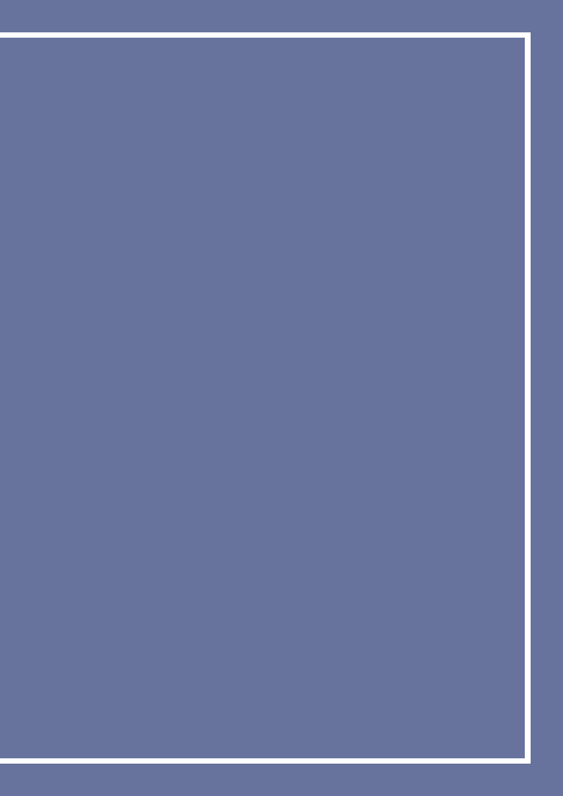**POLICY PAPER**

THE GLOBAL COMPACT FOR MIGRATION **1 9**